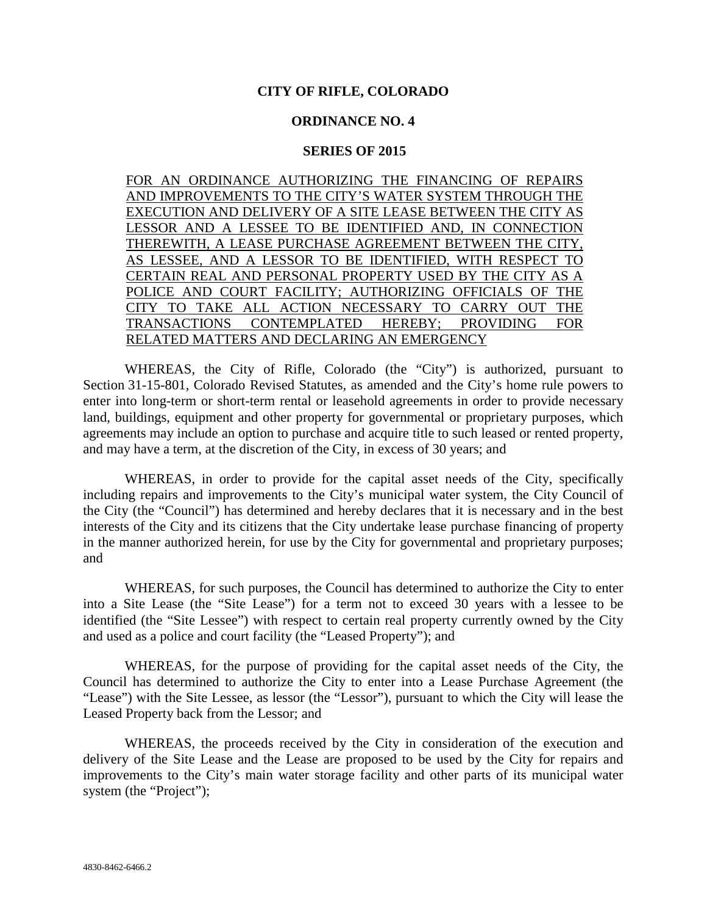## **CITY OF RIFLE, COLORADO**

## **ORDINANCE NO. 4**

## **SERIES OF 2015**

FOR AN ORDINANCE AUTHORIZING THE FINANCING OF REPAIRS AND IMPROVEMENTS TO THE CITY'S WATER SYSTEM THROUGH THE EXECUTION AND DELIVERY OF A SITE LEASE BETWEEN THE CITY AS LESSOR AND A LESSEE TO BE IDENTIFIED AND, IN CONNECTION THEREWITH, A LEASE PURCHASE AGREEMENT BETWEEN THE CITY, AS LESSEE, AND A LESSOR TO BE IDENTIFIED, WITH RESPECT TO CERTAIN REAL AND PERSONAL PROPERTY USED BY THE CITY AS A POLICE AND COURT FACILITY; AUTHORIZING OFFICIALS OF THE CITY TO TAKE ALL ACTION NECESSARY TO CARRY OUT THE TRANSACTIONS CONTEMPLATED HEREBY; PROVIDING FOR RELATED MATTERS AND DECLARING AN EMERGENCY

WHEREAS, the City of Rifle, Colorado (the "City") is authorized, pursuant to Section 31-15-801, Colorado Revised Statutes, as amended and the City's home rule powers to enter into long-term or short-term rental or leasehold agreements in order to provide necessary land, buildings, equipment and other property for governmental or proprietary purposes, which agreements may include an option to purchase and acquire title to such leased or rented property, and may have a term, at the discretion of the City, in excess of 30 years; and

WHEREAS, in order to provide for the capital asset needs of the City, specifically including repairs and improvements to the City's municipal water system, the City Council of the City (the "Council") has determined and hereby declares that it is necessary and in the best interests of the City and its citizens that the City undertake lease purchase financing of property in the manner authorized herein, for use by the City for governmental and proprietary purposes; and

WHEREAS, for such purposes, the Council has determined to authorize the City to enter into a Site Lease (the "Site Lease") for a term not to exceed 30 years with a lessee to be identified (the "Site Lessee") with respect to certain real property currently owned by the City and used as a police and court facility (the "Leased Property"); and

WHEREAS, for the purpose of providing for the capital asset needs of the City, the Council has determined to authorize the City to enter into a Lease Purchase Agreement (the "Lease") with the Site Lessee, as lessor (the "Lessor"), pursuant to which the City will lease the Leased Property back from the Lessor; and

WHEREAS, the proceeds received by the City in consideration of the execution and delivery of the Site Lease and the Lease are proposed to be used by the City for repairs and improvements to the City's main water storage facility and other parts of its municipal water system (the "Project");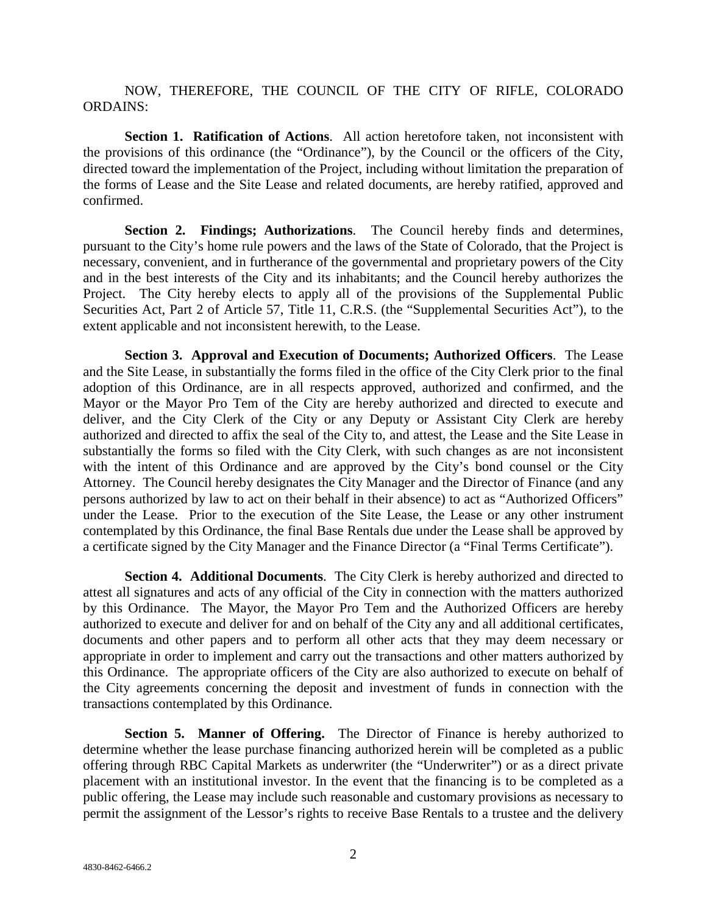NOW, THEREFORE, THE COUNCIL OF THE CITY OF RIFLE, COLORADO ORDAINS:

**Section 1. Ratification of Actions**. All action heretofore taken, not inconsistent with the provisions of this ordinance (the "Ordinance"), by the Council or the officers of the City, directed toward the implementation of the Project, including without limitation the preparation of the forms of Lease and the Site Lease and related documents, are hereby ratified, approved and confirmed.

**Section 2. Findings; Authorizations**. The Council hereby finds and determines, pursuant to the City's home rule powers and the laws of the State of Colorado, that the Project is necessary, convenient, and in furtherance of the governmental and proprietary powers of the City and in the best interests of the City and its inhabitants; and the Council hereby authorizes the Project. The City hereby elects to apply all of the provisions of the Supplemental Public Securities Act, Part 2 of Article 57, Title 11, C.R.S. (the "Supplemental Securities Act"), to the extent applicable and not inconsistent herewith, to the Lease.

**Section 3. Approval and Execution of Documents; Authorized Officers**. The Lease and the Site Lease, in substantially the forms filed in the office of the City Clerk prior to the final adoption of this Ordinance, are in all respects approved, authorized and confirmed, and the Mayor or the Mayor Pro Tem of the City are hereby authorized and directed to execute and deliver, and the City Clerk of the City or any Deputy or Assistant City Clerk are hereby authorized and directed to affix the seal of the City to, and attest, the Lease and the Site Lease in substantially the forms so filed with the City Clerk, with such changes as are not inconsistent with the intent of this Ordinance and are approved by the City's bond counsel or the City Attorney. The Council hereby designates the City Manager and the Director of Finance (and any persons authorized by law to act on their behalf in their absence) to act as "Authorized Officers" under the Lease. Prior to the execution of the Site Lease, the Lease or any other instrument contemplated by this Ordinance, the final Base Rentals due under the Lease shall be approved by a certificate signed by the City Manager and the Finance Director (a "Final Terms Certificate").

**Section 4. Additional Documents**. The City Clerk is hereby authorized and directed to attest all signatures and acts of any official of the City in connection with the matters authorized by this Ordinance. The Mayor, the Mayor Pro Tem and the Authorized Officers are hereby authorized to execute and deliver for and on behalf of the City any and all additional certificates, documents and other papers and to perform all other acts that they may deem necessary or appropriate in order to implement and carry out the transactions and other matters authorized by this Ordinance. The appropriate officers of the City are also authorized to execute on behalf of the City agreements concerning the deposit and investment of funds in connection with the transactions contemplated by this Ordinance.

**Section 5. Manner of Offering.** The Director of Finance is hereby authorized to determine whether the lease purchase financing authorized herein will be completed as a public offering through RBC Capital Markets as underwriter (the "Underwriter") or as a direct private placement with an institutional investor. In the event that the financing is to be completed as a public offering, the Lease may include such reasonable and customary provisions as necessary to permit the assignment of the Lessor's rights to receive Base Rentals to a trustee and the delivery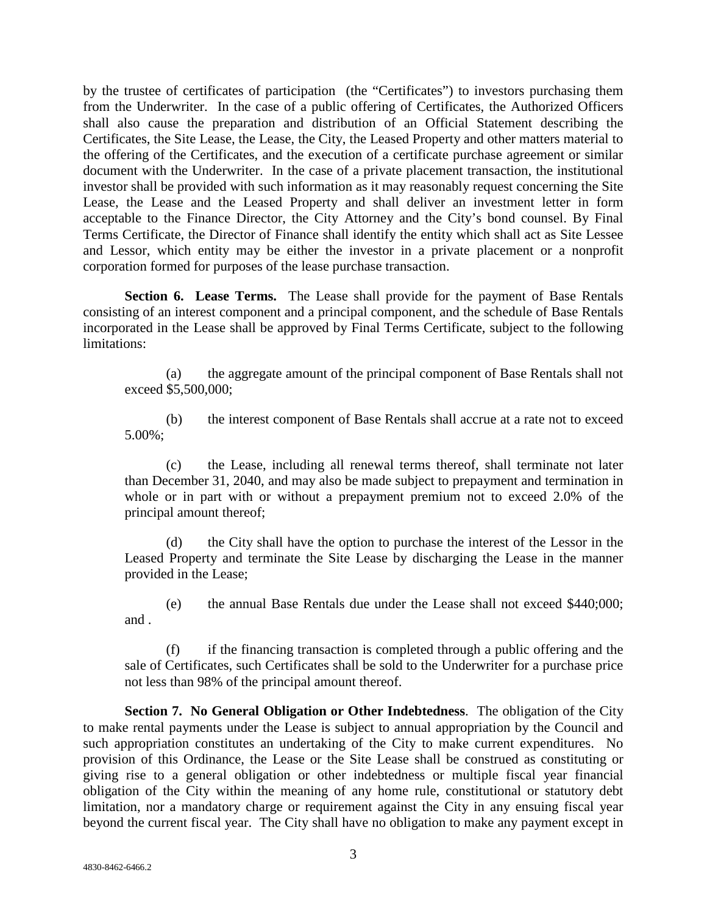by the trustee of certificates of participation (the "Certificates") to investors purchasing them from the Underwriter. In the case of a public offering of Certificates, the Authorized Officers shall also cause the preparation and distribution of an Official Statement describing the Certificates, the Site Lease, the Lease, the City, the Leased Property and other matters material to the offering of the Certificates, and the execution of a certificate purchase agreement or similar document with the Underwriter. In the case of a private placement transaction, the institutional investor shall be provided with such information as it may reasonably request concerning the Site Lease, the Lease and the Leased Property and shall deliver an investment letter in form acceptable to the Finance Director, the City Attorney and the City's bond counsel. By Final Terms Certificate, the Director of Finance shall identify the entity which shall act as Site Lessee and Lessor, which entity may be either the investor in a private placement or a nonprofit corporation formed for purposes of the lease purchase transaction.

**Section 6. Lease Terms.** The Lease shall provide for the payment of Base Rentals consisting of an interest component and a principal component, and the schedule of Base Rentals incorporated in the Lease shall be approved by Final Terms Certificate, subject to the following limitations:

(a) the aggregate amount of the principal component of Base Rentals shall not exceed \$5,500,000;

(b) the interest component of Base Rentals shall accrue at a rate not to exceed 5.00%;

(c) the Lease, including all renewal terms thereof, shall terminate not later than December 31, 2040, and may also be made subject to prepayment and termination in whole or in part with or without a prepayment premium not to exceed 2.0% of the principal amount thereof;

(d) the City shall have the option to purchase the interest of the Lessor in the Leased Property and terminate the Site Lease by discharging the Lease in the manner provided in the Lease;

(e) the annual Base Rentals due under the Lease shall not exceed \$440;000; and .

(f) if the financing transaction is completed through a public offering and the sale of Certificates, such Certificates shall be sold to the Underwriter for a purchase price not less than 98% of the principal amount thereof.

**Section 7. No General Obligation or Other Indebtedness**. The obligation of the City to make rental payments under the Lease is subject to annual appropriation by the Council and such appropriation constitutes an undertaking of the City to make current expenditures. No provision of this Ordinance, the Lease or the Site Lease shall be construed as constituting or giving rise to a general obligation or other indebtedness or multiple fiscal year financial obligation of the City within the meaning of any home rule, constitutional or statutory debt limitation, nor a mandatory charge or requirement against the City in any ensuing fiscal year beyond the current fiscal year. The City shall have no obligation to make any payment except in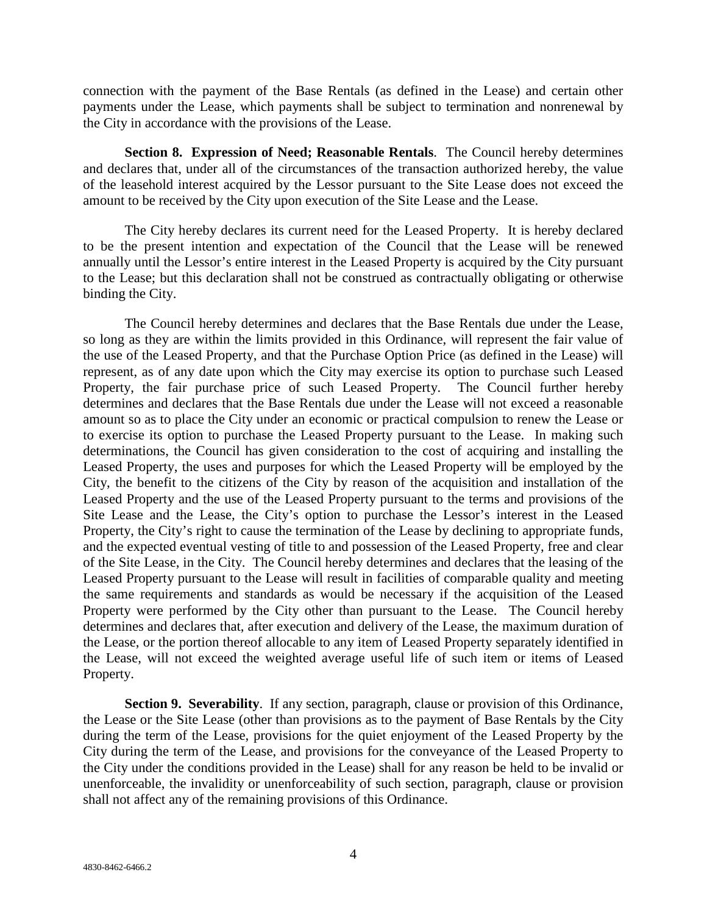connection with the payment of the Base Rentals (as defined in the Lease) and certain other payments under the Lease, which payments shall be subject to termination and nonrenewal by the City in accordance with the provisions of the Lease.

**Section 8. Expression of Need; Reasonable Rentals**. The Council hereby determines and declares that, under all of the circumstances of the transaction authorized hereby, the value of the leasehold interest acquired by the Lessor pursuant to the Site Lease does not exceed the amount to be received by the City upon execution of the Site Lease and the Lease.

The City hereby declares its current need for the Leased Property. It is hereby declared to be the present intention and expectation of the Council that the Lease will be renewed annually until the Lessor's entire interest in the Leased Property is acquired by the City pursuant to the Lease; but this declaration shall not be construed as contractually obligating or otherwise binding the City.

The Council hereby determines and declares that the Base Rentals due under the Lease, so long as they are within the limits provided in this Ordinance, will represent the fair value of the use of the Leased Property, and that the Purchase Option Price (as defined in the Lease) will represent, as of any date upon which the City may exercise its option to purchase such Leased Property, the fair purchase price of such Leased Property. The Council further hereby determines and declares that the Base Rentals due under the Lease will not exceed a reasonable amount so as to place the City under an economic or practical compulsion to renew the Lease or to exercise its option to purchase the Leased Property pursuant to the Lease. In making such determinations, the Council has given consideration to the cost of acquiring and installing the Leased Property, the uses and purposes for which the Leased Property will be employed by the City, the benefit to the citizens of the City by reason of the acquisition and installation of the Leased Property and the use of the Leased Property pursuant to the terms and provisions of the Site Lease and the Lease, the City's option to purchase the Lessor's interest in the Leased Property, the City's right to cause the termination of the Lease by declining to appropriate funds, and the expected eventual vesting of title to and possession of the Leased Property, free and clear of the Site Lease, in the City. The Council hereby determines and declares that the leasing of the Leased Property pursuant to the Lease will result in facilities of comparable quality and meeting the same requirements and standards as would be necessary if the acquisition of the Leased Property were performed by the City other than pursuant to the Lease. The Council hereby determines and declares that, after execution and delivery of the Lease, the maximum duration of the Lease, or the portion thereof allocable to any item of Leased Property separately identified in the Lease, will not exceed the weighted average useful life of such item or items of Leased Property.

**Section 9. Severability**. If any section, paragraph, clause or provision of this Ordinance, the Lease or the Site Lease (other than provisions as to the payment of Base Rentals by the City during the term of the Lease, provisions for the quiet enjoyment of the Leased Property by the City during the term of the Lease, and provisions for the conveyance of the Leased Property to the City under the conditions provided in the Lease) shall for any reason be held to be invalid or unenforceable, the invalidity or unenforceability of such section, paragraph, clause or provision shall not affect any of the remaining provisions of this Ordinance.